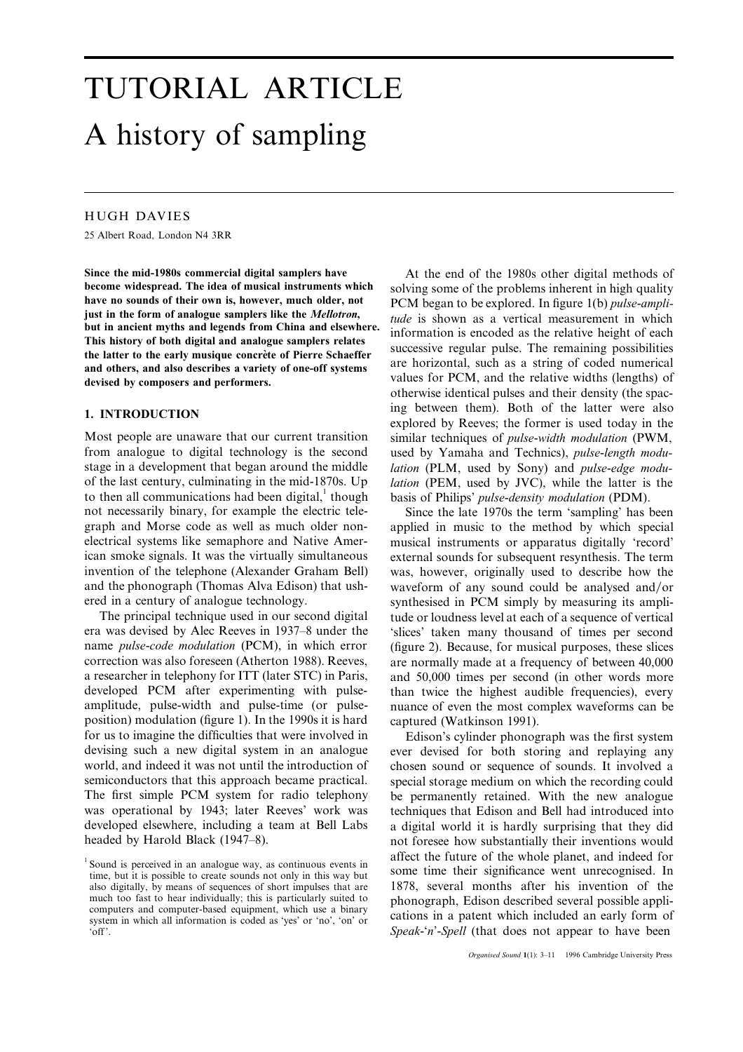# TUTORIAL ARTICLE A history of sampling

## HUGH DAVIES

25 Albert Road, London N4 3RR

**Since the mid-1980s commercial digital samplers have** At the end of the 1980s other digital methods of **become widespread. The idea of musical instruments which** solving some of the problems inherent in high quality have no sounds of their own is, however, much older, not pCM began to be explored. In figure 1(b) *pulse-ampl* have no sounds of their own is, however, much older, not<br>just in the form of analogue samplers like the Mellotron,<br>but in ancient myths and legends from China and elsewhere.<br>information is appealed as the relative height o but in ancient myths and legends from China and elsewhere.<br>
This history of both digital and analogue samplers relates<br>
the latter to the early musique concrète of Pierre Schaeffer<br>
and others, and also describes a variety

Most people are unaware that our current transition similar techniques of *pulse*-*width modulation* (PWM, from analogue to digital technology is the second used by Yamaha and Technics), *pulse*-*length modu*stage in a development that began around the middle *lation* (PLM, used by Sony) and *pulse*-*edge modu*of the last century, culminating in the mid-1870s. Up *lation* (PEM, used by JVC), while the latter is the to then all communications had been digital,<sup>1</sup> though basis of Philips' *pulse-density modulation* (PDM).<br>not necessarily binary, for example the electric tele-<br>Since the late 1970s the term 'sampling' has l graph and Morse code as well as much older non- applied in music to the method by which special electrical systems like semaphore and Native Amer- musical instruments or apparatus digitally 'record' ican smoke signals. It was the virtually simultaneous external sounds for subsequent resynthesis. The term invention of the telephone (Alexander Graham Bell) was, however, originally used to describe how the and the phonograph (Thomas Alva Edison) that ush-<br>waveform of any sound could be analysed and/or ered in a century of analogue technology. synthesised in PCM simply by measuring its ampli-

era was devised by Alec Reeves in 1937–8 under the 'slices' taken many thousand of times per second name *pulse-code modulation* (PCM), in which error (figure 2). Because, for musical purposes, these slices correction was also foreseen (Atherton 1988). Reeves, are normally made at a frequency of between 40,000 a researcher in telephony for ITT (later STC) in Paris, and 50,000 times per second (in other words more developed PCM after experimenting with pulse-<br>than twice the highest audible frequencies), every amplitude, pulse-width and pulse-time (or pulse- nuance of even the most complex waveforms can be position) modulation (figure 1). In the 1990s it is hard captured (Watkinson 1991). for us to imagine the difficulties that were involved in Edison's cylinder phonograph was the first system devising such a new digital system in an analogue ever devised for both storing and replaying any world, and indeed it was not until the introduction of chosen sound or sequence of sounds. It involved a semiconductors that this approach became practical. special storage medium on which the recording could The first simple PCM system for radio telephony be permanently retained. With the new analogue was operational by 1943; later Reeves' work was techniques that Edison and Bell had introduced into developed elsewhere, including a team at Bell Labs a digital world it is hardly surprising that they did

otherwise identical pulses and their density (the spac-**1. INTRODUCTION** ing between them). Both of the latter were also explored by Reeves; the former is used today in the

Since the late 1970s the term 'sampling' has been The principal technique used in our second digital tude or loudness level at each of a sequence of vertical than twice the highest audible frequencies), every

headed by Harold Black (1947–8). headed by Harold Black (1947–8). <sup>1</sup> Sound is perceived in an analogue way, as continuous events in<br>time, but it is possible to create sounds not only in this way but<br>also digitally, by means of sequences of short impulses that are<br> $1878$ , several months also digitally, by means of sequences of short impulses that are 1878, several months after his invention of the much too fast to hear individually; this is particularly suited to phonograph Edison described several possib much too fast to hear individually; this is particularly suited to<br>computers and computer-based equipment, which use a binary<br>system in which all information is coded as 'yes' or 'no', 'on' or<br>cations in a patent which inc

<sup>&#</sup>x27;off'. *Speak*-'*n*'-*Spell* (that does not appear to have been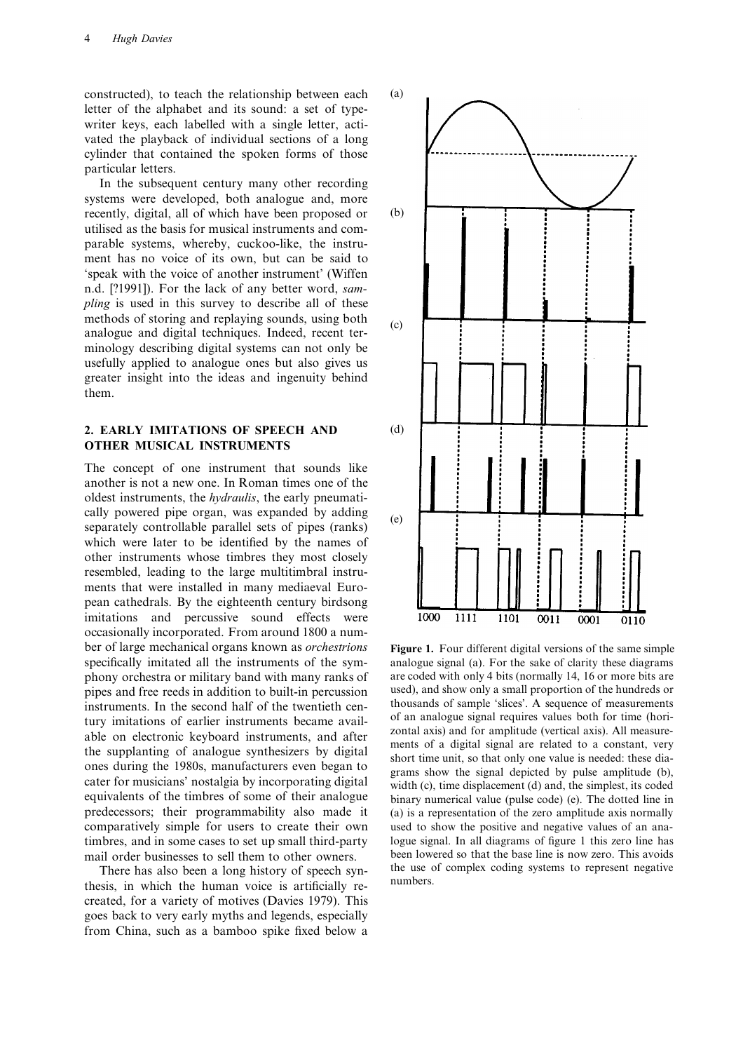constructed), to teach the relationship between each (a) letter of the alphabet and its sound: a set of typewriter keys, each labelled with a single letter, activated the playback of individual sections of a long cylinder that contained the spoken forms of those particular letters.

In the subsequent century many other recording systems were developed, both analogue and, more recently, digital, all of which have been proposed or (b) utilised as the basis for musical instruments and comparable systems, whereby, cuckoo-like, the instrument has no voice of its own, but can be said to 'speak with the voice of another instrument' (Wiffen n.d. [?1991]). For the lack of any better word, *sampling* is used in this survey to describe all of these methods of storing and replaying sounds, using both analogue and digital techniques. Indeed, recent terminology describing digital systems can not only be usefully applied to analogue ones but also gives us greater insight into the ideas and ingenuity behind them.

## **2. EARLY IMITATIONS OF SPEECH AND** (d) **OTHER MUSICAL INSTRUMENTS**

The concept of one instrument that sounds like another is not a new one. In Roman times one of the oldest instruments, the *hydraulis*, the early pneumatically powered pipe organ, was expanded by adding separately controllable parallel sets of pipes (ranks) (e) which were later to be identified by the names of other instruments whose timbres they most closely resembled, leading to the large multitimbral instruments that were installed in many mediaeval European cathedrals. By the eighteenth century birdsong imitations and percussive sound effects were occasionally incorporated. From around 1800 a number of large mechanical organs known as *orchestrions* **Figure 1.** Four different digital versions of the same simple comparatively simple for users to create their own used to show the positive and negative values of an ana-

There has also been a long history of speech syn-<br>the use of complex coding systems to represent negative negative negative negative negative negative negative negative negative negative negative negative negative negativ thesis, in which the human voice is artificially recreated, for a variety of motives (Davies 1979). This goes back to very early myths and legends, especially from China, such as a bamboo spike fixed below a



specifically imitated all the instruments of the sym- analogue signal (a). For the sake of clarity these diagrams phony orchestra or military band with many ranks of are coded with only 4 bits (normally 14, 16 or more bits are pipes and free reeds in addition to built-in percussion used), and show only a small proportion of the hundre pipes and free reeds in addition to built-in percussion used), and show only a small proportion of the hundreds or<br>instruments. In the second half of the twentieth cen-<br>thousands of sample 'slices'. A sequence of measureme instruments. In the second half of the twentieth cen-<br>thousands of sample 'slices'. A sequence of measurements<br>tury imitations of earlier instruments became avail-<br>of an analogue signal requires values both for time (horitury imitations of earlier instruments became avail-<br>able on electronic keyboard instruments, and after<br>the supplanting of analogue synthesizers by digital<br>ones during the 1980s, manufacturers even began to<br>cater for music equivalents of the timbres of some of their analogue binary numerical value (pulse code) (e). The dotted line in predecessors; their programmability also made it (a) is a representation of the zero amplitude axis normally (a) is a representation of the zero amplitude axis normally timbres, and in some cases to set up small third-party logue signal. In all diagrams of figure 1 this zero line has mail order businesses to sell them to other owners. been lowered so that the base line is now zero. This avoids<br>There has also been a long history of speech syn-<br>the use of complex coding systems to represent negative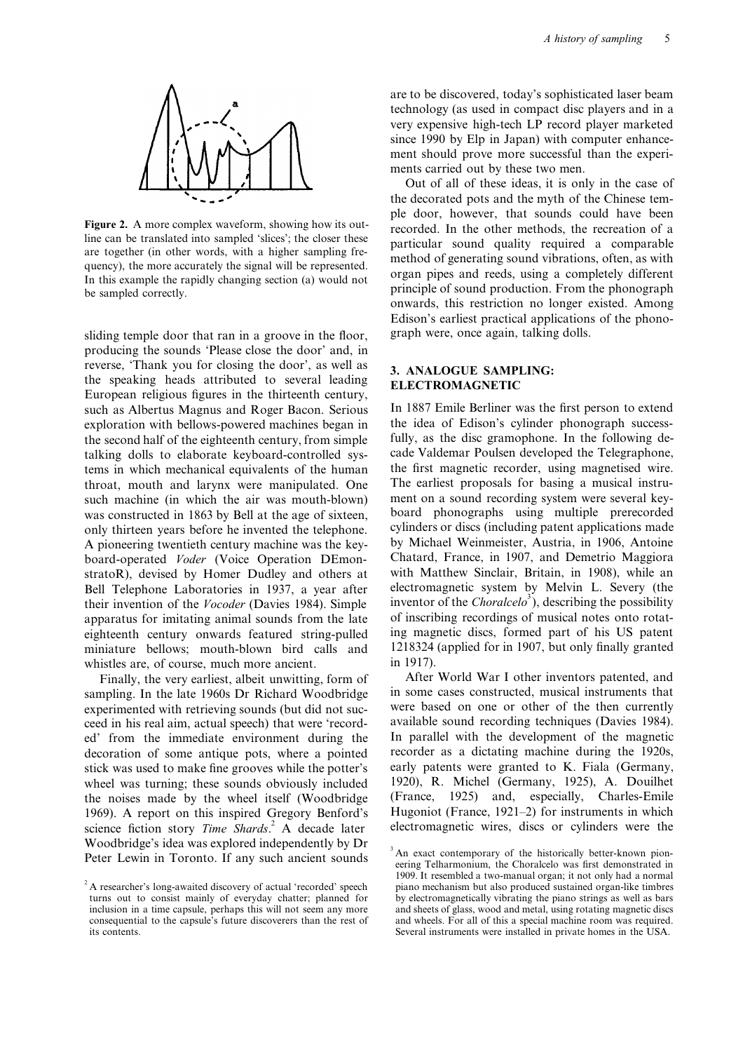

sliding temple door that ran in a groove in the floor, graph were, once again, talking dolls. producing the sounds 'Please close the door' and, in reverse, 'Thank you for closing the door', as well as **3. ANALOGUE SAMPLING:** the speaking heads attributed to several leading **ELECTROMAGNETIC** European religious figures in the thirteenth century, such as Albertus Magnus and Roger Bacon. Serious In 1887 Emile Berliner was the first person to extend exploration with bellows-powered machines began in the idea of Edison's cylinder phonograph success-<br>the second half of the eighteenth century from simple fully, as the disc gramophone. In the following dethe second half of the eighteenth century, from simple. talking dolls to elaborate keyboard-controlled sys-<br>tems in which mechanical equivalents of the human<br>the first magnetic recorder, using magnetised wire. tems in which mechanical equivalents of the human the first magnetic recorder, using magnetised wire.<br>throat, mouth and larvnx were manipulated. One The earliest proposals for basing a musical instruthroat, mouth and larynx were manipulated. One The earliest proposals for basing a musical instrusuch machine (in which the air was mouth-blown) was constructed in 1863 by Bell at the age of sixteen, board phonographs using multiple prerecorded<br>only thirteen years before he invented the telephone cylinders or discs (including patent applications made only thirteen years before he invented the telephone. cylinders or discs (including patent applications made<br>A pioneering twentieth century machine was the key-<br>by Michael Weinmeister, Austria, in 1906, Antoine A pioneering twentieth century machine was the key-<br>
by Michael Weinmeister, Austria, in 1906, Antoine<br>
board-operated Voder (Voice Operation DEmon-<br>
Chatard, France, in 1907, and Demetrio Maggiora board-operated *Voder* (Voice Operation DEmon-<br>stratoR), devised by Homer Dudley and others at with Matthew Sinclair, Britain, in 1908), while an stratoR), devised by Homer Dudley and others at Bell Telephone Laboratories in 1937, a year after electromagnetic system by Melvin L. Severy (the their invention of the *Vocoder* (Davies 1984). Simple apparatus for imitating animal sounds from the late of inscribing recordings of musical notes onto rotat-<br>eighteenth century onwards featured string-pulled ing magnetic discs, formed part of his US patent eighteenth century onwards featured string-pulled miniature bellows; mouth-blown bird calls and 1218324 (applied for in 1907, but only finally granted whistles are, of course, much more ancient.<br>Finally the very earliest albeit unwitting form of After World War I other inventors patented, and

sampling. In the late 1960s Dr Richard Woodbridge in some cases constructed, musical instruments that experimented with retrieving sounds (but did not suc-<br>were based on one or other of the then currently experimented with retrieving sounds (but did not suc-<br>ceed in his real aim, actual speech) that were 'record-<br>available sound recording techniques (Davies 1984). ceed in his real aim, actual speech) that were 'recorded' from the immediate environment during the In parallel with the development of the magnetic decoration of some antique pots, where a pointed recorder as a dictating machine during the 1920s, stick was used to make fine grooves while the potter's early patents were granted to K. Fiala (Germany, wheel was turning; these sounds obviously included 1920), R. Michel (Germany, 1925), A. Douilhet the noises made by the wheel itself (Woodbridge (France, 1925) and, especially, Charles-Emile 1969). A report on this inspired Gregory Benford's Hugoniot (France, 1921–2) for instruments in which science fiction story *Time Shards*<sup>2</sup> A decade later electromagnetic wires, discs or cylinders were the Woodbridge's idea was explored independently by  $Dr$ <br>Peter Lewin in Toronto. If any such ancient sounds  $\frac{3}{2}$  An exact contemporary of the historically better-known pion-

are to be discovered, today's sophisticated laser beam technology (as used in compact disc players and in a very expensive high-tech LP record player marketed since 1990 by Elp in Japan) with computer enhancement should prove more successful than the experiments carried out by these two men.

Out of all of these ideas, it is only in the case of the decorated pots and the myth of the Chinese temple door, however, that sounds could have been Figure 2. A more complex waveform, showing how its out-<br>line can be translated into sampled 'slices'; the closer these<br>are together (in other words, with a higher sampling fre-<br>quency), the more accurately the signal will Edison's earliest practical applications of the phono-

inventor of the *Choralcelo*<sup>3</sup>), describing the possibility

Finally, the very earliest, albeit unwitting, form of After World War I other inventors patented, and<br>npling In the late 1960s Dr Richard Woodbridge in some cases constructed, musical instruments that

turns out to consist mainly of everyday chatter; planned for consequential to the capsule's future discoverers than the rest of its contents.

eering Telharmonium, the Choralcelo was first demonstrated in 1909. It resembled a two-manual organ; it not only had a normal <sup>2</sup> A researcher's long-awaited discovery of actual 'recorded' speech piano mechanism but also produced sustained organ-like timbres 1 at the piano sustained organ-like timbres 2 as well as bars inclusion in a time capsule, perhaps this will not seem any more and sheets of glass, wood and metal, using rotating magnetic discs consequential to the capsule's future discoverers than the rest of and wheels. For all of Several instruments were installed in private homes in the USA.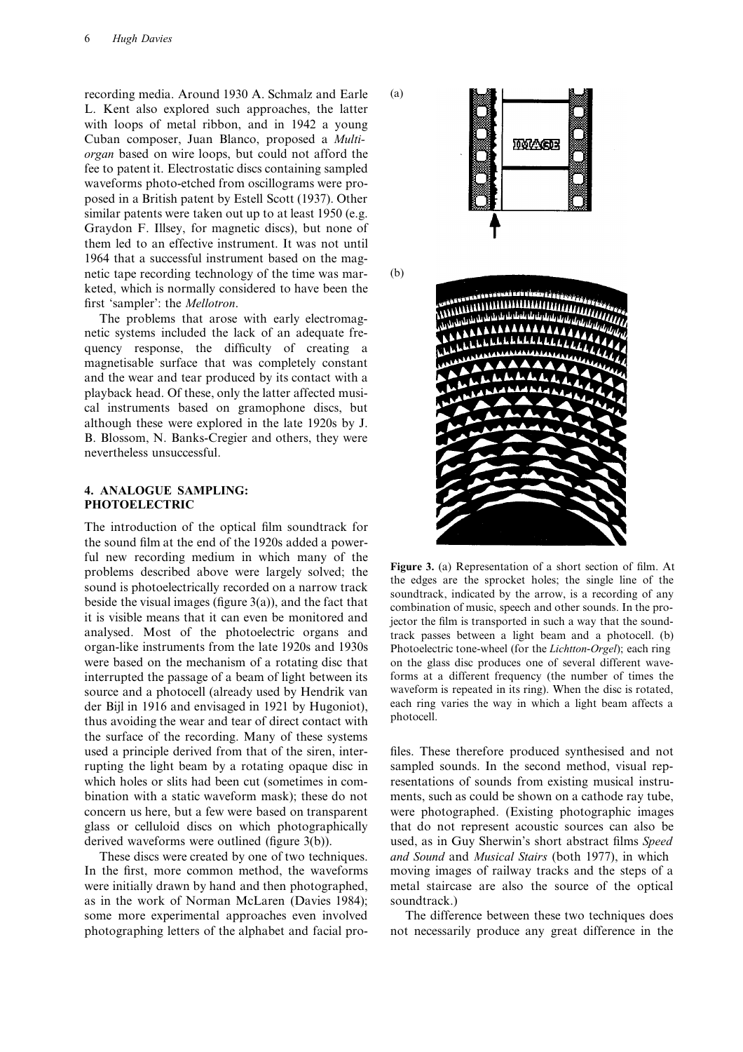recording media. Around 1930 A. Schmalz and Earle (a) L. Kent also explored such approaches, the latter with loops of metal ribbon, and in 1942 a young Cuban composer, Juan Blanco, proposed a *Multiorgan* based on wire loops, but could not afford the fee to patent it. Electrostatic discs containing sampled waveforms photo-etched from oscillograms were proposed in a British patent by Estell Scott (1937). Other similar patents were taken out up to at least 1950 (e.g. Graydon F. Illsey, for magnetic discs), but none of them led to an effective instrument. It was not until 1964 that a successful instrument based on the magnetic tape recording technology of the time was mar- (b) keted, which is normally considered to have been the first 'sampler': the *Mellotron*.

The problems that arose with early electromagnetic systems included the lack of an adequate frequency response, the difficulty of creating a magnetisable surface that was completely constant and the wear and tear produced by its contact with a playback head. Of these, only the latter affected musical instruments based on gramophone discs, but although these were explored in the late 1920s by J. B. Blossom, N. Banks-Cregier and others, they were nevertheless unsuccessful.

### **4. ANALOGUE SAMPLING: PHOTOELECTRIC**

The introduction of the optical film soundtrack for the sound film at the end of the 1920s added a powerful new recording medium in which many of the<br>problems described above were largely solved; the<br>sound is photoelectrically recorded on a narrow track<br>beside the visual images (figure 3(a)), and the fact that<br>it is visible analysed. Most of the photoelectric organs and track passes between a light beam and a photocell. (b) organ-like instruments from the late 1920s and 1930s Photoelectric tone-wheel (for the *Lichtton-Orgel*); each ring were based on the mechanism of a rotating disc that on the glass disc produces one of several different waveinterrupted the passage of a beam of light between its forms at a different frequency (the number of times the source and a photocell (already used by Hendrik van waveform is repeated in its ring). When the disc is rotated source and a photocell (already used by Hendrik van waveform is repeated in its ring). When the disc is rotated, der Biil in 1916 and envisaged in 1921 by Hugoniot) each ring varies the way in which a light beam affects a der Bijl in 1916 and envisaged in 1921 by Hugoniot), each ring thus avoiding the wear and tear of direct contact with photocell. the surface of the recording. Many of these systems used a principle derived from that of the siren, inter- files. These therefore produced synthesised and not rupting the light beam by a rotating opaque disc in sampled sounds. In the second method, visual repwhich holes or slits had been cut (sometimes in com-<br>resentations of sounds from existing musical instrubination with a static waveform mask); these do not ments, such as could be shown on a cathode ray tube, concern us here, but a few were based on transparent were photographed. (Existing photographic images glass or celluloid discs on which photographically that do not represent acoustic sources can also be derived waveforms were outlined (figure 3(b)). used, as in Guy Sherwin's short abstract films *Speed*

In the first, more common method, the waveforms moving images of railway tracks and the steps of a were initially drawn by hand and then photographed, metal staircase are also the source of the optical as in the work of Norman McLaren (Davies 1984); soundtrack.) some more experimental approaches even involved The difference between these two techniques does photographing letters of the alphabet and facial pro- not necessarily produce any great difference in the



Photoelectric tone-wheel (for the *Lichtton-Orgel*); each ring

These discs were created by one of two techniques. *and Sound* and *Musical Stairs* (both 1977), in which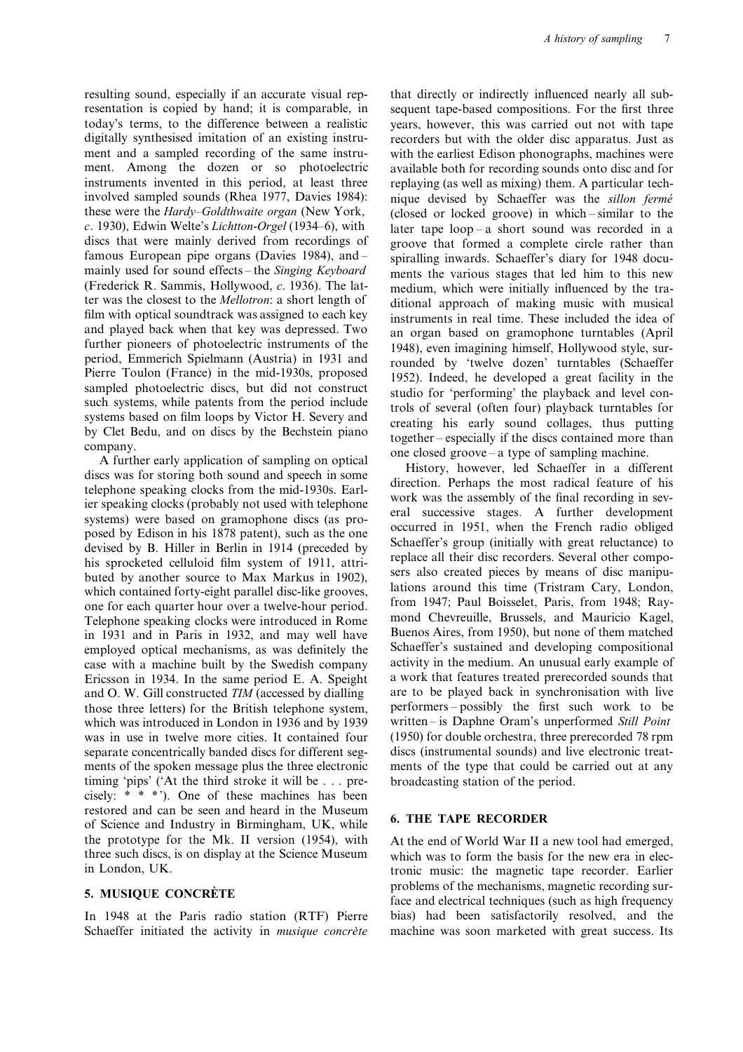resentation is copied by hand; it is comparable, in sequent tape-based compositions. For the first three today's terms, to the difference between a realistic years, however, this was carried out not with tape digitally synthesised imitation of an existing instru-<br>recorders but with the older disc apparatus. Just as ment and a sampled recording of the same instru- with the earliest Edison phonographs, machines were ment. Among the dozen or so photoelectric available both for recording sounds onto disc and for instruments invented in this period, at least three replaying (as well as mixing) them. A particular techinvolved sampled sounds (Rhea 1977, Davies 1984): nique devised by Schaeffer was the *sillon fermé*<br>these were the *Hardy–Goldthwaite organ* (New York, (closed or locked groove) in which – similar to the these were the *Hardy–Goldthwaite organ* (New York, (closed or locked groove) in which–similar to the c. 1930), Edwin Welte's *Lichtton-Orgel* (1934–6), with later tape loop–a short sound was recorded in a *c*. 1930), Edwin Welte's *Lichtton*-*Orgel* (1934–6), with later tape loop – a short sound was recorded in a discs that were mainly derived from recordings of groove that formed a complete circle rather than famous European pipe organs (Davies 1984), and – spiralling inwards. Schaeffer's diary for 1948 docufamous European pipe organs (Davies 1984), and –<br>mainly used for sound effects – the *Singing Keyboard* – ments the various stages that led him to this new mainly used for sound effects – the *Singing Keyboard* ments the various stages that led him to this new<br>(Frederick R. Sammis, Hollywood, c. 1936). The lat-<br>medium which were initially influenced by the tra-(Frederick R. Sammis, Hollywood, c. 1936). The lat-<br>ter was the closest to the *Mellotron*: a short length of<br>film with optical soundtrack was assigned to each key<br>an organ based on gramophone turntables (April

buted by another source to Max Markus in 1902),<br>which contained forty-eight parallel disc-like grooves, lations around this time (Tristram Cary, London,<br>one for each quarter hour over a twelve-hour period from 1947; Paul B one for each quarter hour over a twelve-hour period. It from 1947; Paul Boisselet, Paris, from 1948; Ray-<br>Telephone specking clocks were introduced in Rome Impact Chevreuille. Brussels, and Mauricio Kagel. Telephone speaking clocks were introduced in Rome mond Chevreuille, Brussels, and Mauricio Kagel, <br>in 1931 and in Paris in 1932 and may well have Buenos Aires, from 1950), but none of them matched in 1931 and in Paris in 1932, and may well have Buenos Aires, from 1950), but none of them matched<br>employed optical mechanisms, as was definitely the Schaeffer's sustained and developing compositional employed optical mechanisms, as was definitely the Schaeffer's sustained and developing compositional case with a machine built by the Swedish company activity in the medium. An unusual early example of case with a machine built by the Swedish company activity in the medium. An unusual early example of Ericsson in 1934. In the same period E. A. Speight a work that features treated prerecorded sounds that Ericsson in 1934. In the same period E. A. Speight and O. W. Gill constructed *TIM* (accessed by dialling are to be played back in synchronisation with live those three letters) for the British telephone system performers – possibly the first such work to be those three letters) for the British telephone system, which was introduced in London in 1936 and by 1939 written – is Daphne Oram's unperformed *Still Point* was in use in twelve more cities. It contained four (1950) for double orchestra, three prerecorded 78 rpm separate concentrically banded discs for different seg- discs (instrumental sounds) and live electronic treatments of the spoken message plus the three electronic ments of the type that could be carried out at any timing 'pips' ('At the third stroke it will be . . . pre- broadcasting station of the period. cisely: \* \* \*'). One of these machines has been restored and can be seen and heard in the Museum of Science and Industry in Birmingham, UK, while **6. THE TAPE RECORDER** the prototype for the Mk. II version (1954), with At the end of World War II a new tool had emerged, three such discs, is on display at the Science Museum which was to form the basis for the new era in elec-<br>tronic music: the magnetic tane recorder. Earlier

Schaeffer initiated the activity in *musique concrete* machine was soon marketed with great success. Its

resulting sound, especially if an accurate visual rep- that directly or indirectly influenced nearly all suband played back when that key was depressed. Two<br>
function in organ based on gramophone turntables (April<br>
further pionetes of photoelectric instruments of the 1948), even imagining himself, Hollywood style, sur-<br>
Pierre T

tronic music: the magnetic tape recorder. Earlier **5. MUSIQUE CONCRÈTE** face and electrical techniques (such as high frequency face and electrical techniques (such as high frequency In 1948 at the Paris radio station (RTF) Pierre bias) had been satisfactorily resolved, and the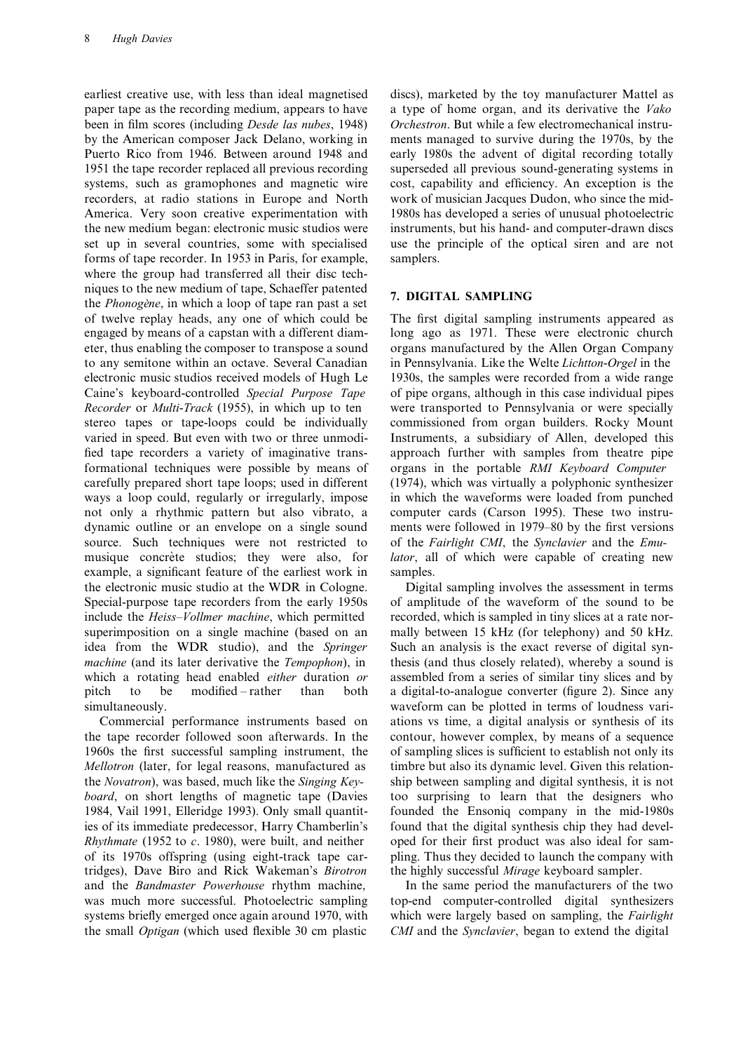earliest creative use, with less than ideal magnetised discs), marketed by the toy manufacturer Mattel as paper tape as the recording medium, appears to have a type of home organ, and its derivative the *Vako* been in film scores (including *Desde las nubes*, 1948) *Orchestron*. But while a few electromechanical instruby the American composer Jack Delano, working in ments managed to survive during the 1970s, by the Puerto Rico from 1946. Between around 1948 and early 1980s the advent of digital recording totally 1951 the tape recorder replaced all previous recording superseded all previous sound-generating systems in systems, such as gramophones and magnetic wire cost, capability and efficiency. An exception is the recorders, at radio stations in Europe and North work of musician Jacques Dudon, who since the mid-America. Very soon creative experimentation with 1980s has developed a series of unusual photoelectric the new medium began: electronic music studios were instruments, but his hand- and computer-drawn discs set up in several countries, some with specialised use the principle of the optical siren and are not forms of tape recorder. In 1953 in Paris, for example, samplers. where the group had transferred all their disc techniques to the new medium of tape, Schaeffer patented<br>the *Phonogène*, in which a loop of tape ran past a set 7. **DIGITAL SAMPLING** of twelve replay heads, any one of which could be The first digital sampling instruments appeared as engaged by means of a capstan with a different diam- long ago as 1971. These were electronic church eter, thus enabling the composer to transpose a sound organs manufactured by the Allen Organ Company to any semitone within an octave. Several Canadian in Pennsylvania. Like the Welte *Lichtton*-*Orgel* in the electronic music studios received models of Hugh Le 1930s, the samples were recorded from a wide range Caine's keyboard-controlled *Special Purpose Tape* of pipe organs, although in this case individual pipes *Recorder* or *Multi*-*Track* (1955), in which up to ten were transported to Pennsylvania or were specially stereo tapes or tape-loops could be individually commissioned from organ builders. Rocky Mount varied in speed. But even with two or three unmodi- Instruments, a subsidiary of Allen, developed this fied tape recorders a variety of imaginative trans- approach further with samples from theatre pipe formational techniques were possible by means of organs in the portable *RMI Keyboard Computer* carefully prepared short tape loops; used in different (1974), which was virtually a polyphonic synthesizer ways a loop could, regularly or irregularly, impose in which the waveforms were loaded from punched not only a rhythmic pattern but also vibrato, a computer cards (Carson 1995). These two instrudynamic outline or an envelope on a single sound ments were followed in 1979–80 by the first versions source. Such techniques were not restricted to of the *Fairlight CMI*, the *Synclavier* and the *Emu*musique concrète studios; they were also, for *lator*, all of which were capable of creating new example, a significant feature of the earliest work in samples. the electronic music studio at the WDR in Cologne. Digital sampling involves the assessment in terms Special-purpose tape recorders from the early 1950s of amplitude of the waveform of the sound to be include the *Heiss*–*Vollmer machine*, which permitted recorded, which is sampled in tiny slices at a rate norsuperimposition on a single machine (based on an mally between 15 kHz (for telephony) and 50 kHz. idea from the WDR studio), and the *Springer* Such an analysis is the exact reverse of digital syn*machine* (and its later derivative the *Tempophon*), in thesis (and thus closely related), whereby a sound is which a rotating head enabled *either* duration *or* assembled from a series of similar tiny slices and by pitch to be modified – rather than both a digital-to-analogue converter (figure 2). Since any

the tape recorder followed soon afterwards. In the contour, however complex, by means of a sequence 1960s the first successful sampling instrument, the of sampling slices is sufficient to establish not only its *Mellotron* (later, for legal reasons, manufactured as timbre but also its dynamic level. Given this relationthe *Novatron*), was based, much like the *Singing Key-* ship between sampling and digital synthesis, it is not *board*, on short lengths of magnetic tape (Davies too surprising to learn that the designers who 1984, Vail 1991, Elleridge 1993). Only small quantit- founded the Ensoniq company in the mid-1980s ies of its immediate predecessor, Harry Chamberlin's found that the digital synthesis chip they had devel-*Rhythmate* (1952 to *c*. 1980), were built, and neither oped for their first product was also ideal for samof its 1970s offspring (using eight-track tape car- pling. Thus they decided to launch the company with tridges), Dave Biro and Rick Wakeman's *Birotron* the highly successful *Mirage* keyboard sampler. and the *Bandmaster Powerhouse* rhythm machine, In the same period the manufacturers of the two was much more successful. Photoelectric sampling top-end computer-controlled digital synthesizers systems briefly emerged once again around 1970, with which were largely based on sampling, the *Fairlight*

simultaneously. Waveform can be plotted in terms of loudness vari-Commercial performance instruments based on ations vs time, a digital analysis or synthesis of its

the small *Optigan* (which used flexible 30 cm plastic *CMI* and the *Synclavier*, began to extend the digital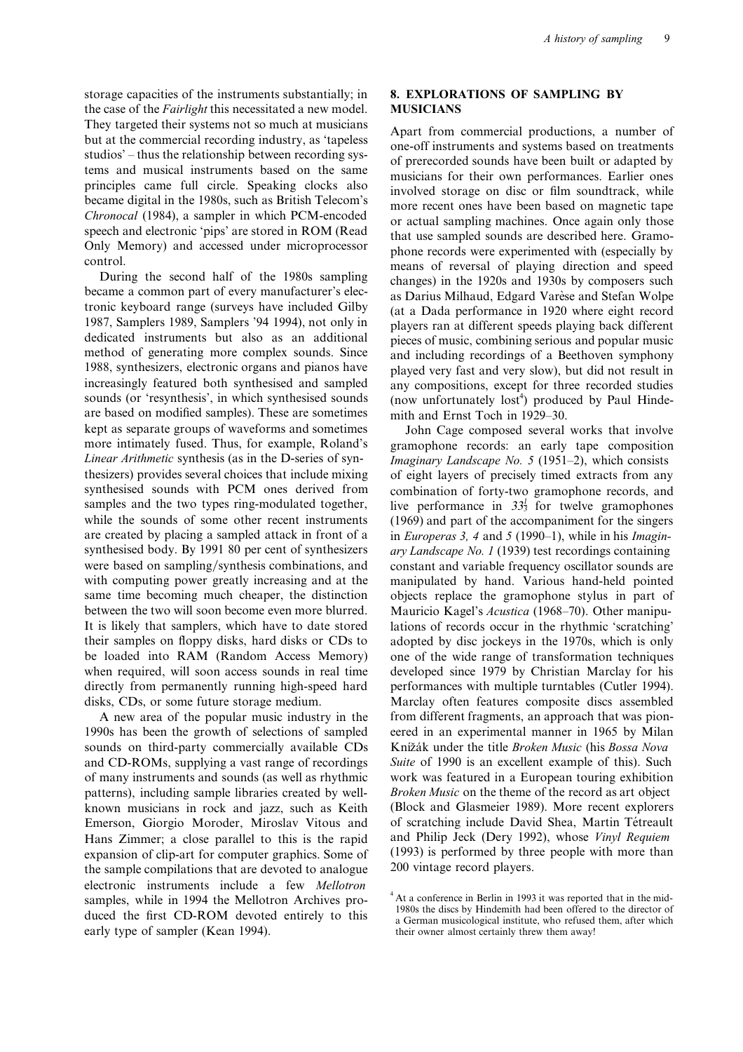storage capacities of the instruments substantially; in **8. EXPLORATIONS OF SAMPLING BY** the case of the *Fairlight* this necessitated a new model. **MUSICIANS**

dedicated instruments but also as an additional pieces of music, combining serious and popular music<br>method of generating more complex sounds. Since and including recordings of a Beethoven symphony method of generating more complex sounds. Since and including recordings of a Beethoven symphony<br>1988, synthesizers, electronic organs and pianos have alayed very fast and very slow) but did not result in 1988, synthesizers, electronic organs and pianos have played very fast and very slow), but did not result in increasingly featured both synthesised and sampled any compositions, except for three recorded studies sounds (or 'resynthesis', in which synthesised sounds are based on modified samples). These are sometimes mith and Ernst Toch in 1929–30.<br>
kept as separate groups of waveforms and sometimes John Cage composed several kept as separate groups of waveforms and sometimes John Cage composed several works that involve<br>more intimately fused. Thus, for example, Roland's gramophone records: an early tape composition more intimately fused. Thus, for example, Roland's gramophone records: an early tape composition *Linear Arithmetic* synthesis (as in the D-series of syn-<br>*Imaginary Landscape No* 5 (1951–2) which consists *Linear Arithmetic* synthesis (as in the D-series of syn-<br>the *Imaginary Landscape No. 5* (1951–2), which consists<br>the indextracts from any<br>the sizers) provides several choices that include mixing<br>of eight layers of precis synthesised sounds with PCM ones derived from combination of forty-two gramophone records, and samples and the two types ring-modulated together, while the sounds of some other recent instruments (1969) and part of the accompaniment for the singers are created by placing a sampled attack in front of a in *Europeras 3, 4* and *5* (1990–1), while in his *Imagin*synthesised body. By 1991 80 per cent of synthesizers *ary Landscape No. 1* (1939) test recordings containing were based on sampling/synthesis combinations, and constant and variable frequency oscillator sounds are with computing power greatly increasing and at the manipulated by hand. Various hand-held pointed same time becoming much cheaper, the distinction objects replace the gramophone stylus in part of between the two will soon become even more blurred. Mauricio Kagel's *Acustica* (1968–70). Other manipu-It is likely that samplers, which have to date stored lations of records occur in the rhythmic 'scratching' their samples on floppy disks, hard disks or CDs to adopted by disc jockeys in the 1970s, which is only be loaded into RAM (Random Access Memory) one of the wide range of transformation techniques when required, will soon access sounds in real time developed since 1979 by Christian Marclay for his directly from permanently running high-speed hard performances with multiple turntables (Cutler 1994). disks, CDs, or some future storage medium. Marclay often features composite discs assembled

1990s has been the growth of selections of sampled eered in an experimental manner in 1965 by Milan sounds on third-party commercially available CDs Knižák under the title *Broken Music* (his *Bossa Nova* and CD-ROMs, supplying a vast range of recordings *Suite* of 1990 is an excellent example of this). Such of many instruments and sounds (as well as rhythmic work was featured in a European touring exhibition patterns), including sample libraries created by well- *Broken Music* on the theme of the record as art object known musicians in rock and jazz, such as Keith (Block and Glasmeier 1989). More recent explorers Emerson, Giorgio Moroder, Miroslav Vitous and of scratching include David Shea, Martin Tétreault Hans Zimmer; a close parallel to this is the rapid and Philip Jeck (Dery 1992), whose *Vinyl Requiem* expansion of clip-art for computer graphics. Some of (1993) is performed by three people with more than the sample compilations that are devoted to analogue 200 vintage record players. the sample compilations that are devoted to analogue electronic instruments include a few *Mellotron*<br>samples, while in 1994 the Mellotron Archives pro-<br>duced the first CD-ROM devoted entirely to this<br>a German musicological institute, who refused them, after which early type of sampler (Kean 1994). their owner almost certainly threw them away!

They targeted their systems not so much at musicians<br>but at the commercial recording industry, as 'tapeless<br>studios' – thus the relationship between recording sys-<br>tems and musical instruments based on the same<br>of prerecor any compositions, except for three recorded studies (now unfortunately lost<sup>4</sup>) produced by Paul Hinde-

of eight layers of precisely timed extracts from any live performance in  $33\frac{1}{3}$  for twelve gramophones A new area of the popular music industry in the from different fragments, an approach that was pion-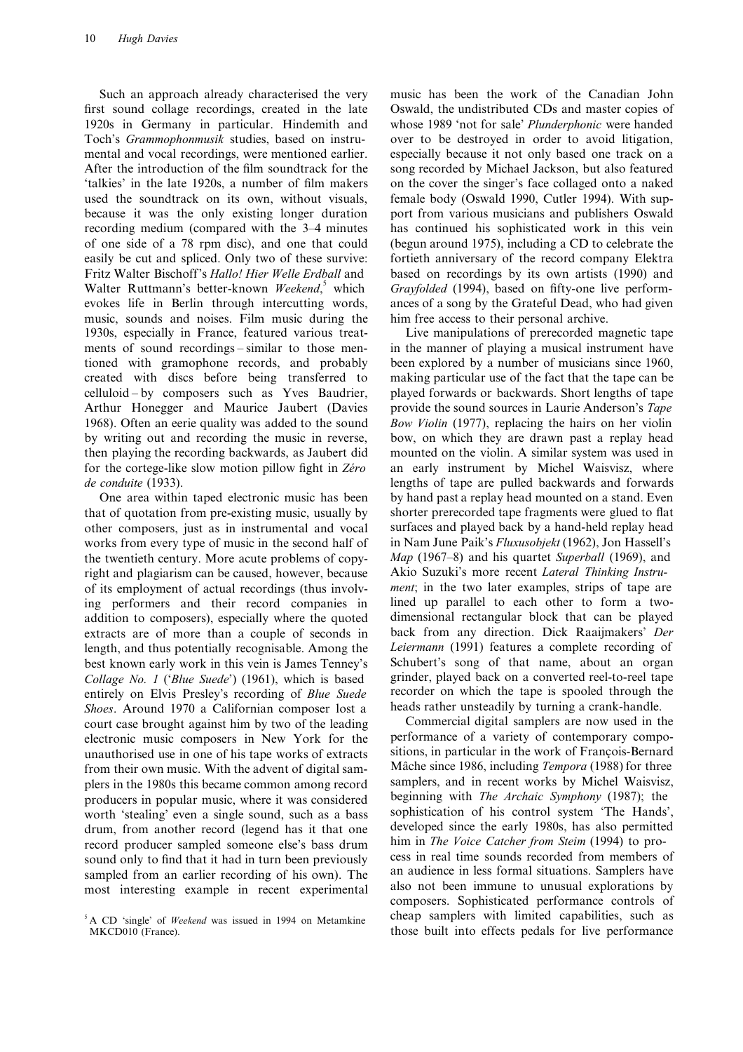first sound collage recordings, created in the late Oswald, the undistributed CDs and master copies of 1920s in Germany in particular. Hindemith and whose 1989 'not for sale' *Plunderphonic* were handed Toch's *Grammophonmusik* studies, based on instru- over to be destroyed in order to avoid litigation, mental and vocal recordings, were mentioned earlier. especially because it not only based one track on a After the introduction of the film soundtrack for the song recorded by Michael Jackson, but also featured 'talkies' in the late 1920s, a number of film makers on the cover the singer's face collaged onto a naked used the soundtrack on its own, without visuals, female body (Oswald 1990, Cutler 1994). With supbecause it was the only existing longer duration port from various musicians and publishers Oswald recording medium (compared with the 3–4 minutes has continued his sophisticated work in this vein of one side of a 78 rpm disc), and one that could (begun around 1975), including a CD to celebrate the easily be cut and spliced. Only two of these survive: fortieth anniversary of the record company Elektra Fritz Walter Bischoff's *Hallo! Hier Welle Erdball* and based on recordings by its own artists (1990) and Walter Ruttmann's better-known *Weekend*, *which Grayfolded* (1994), based on fifty-one live performevokes life in Berlin through intercutting words, ances of a song by the Grateful Dead, who had given music, sounds and noises. Film music during the him free access to their personal archive. 1930s, especially in France, featured various treat- Live manipulations of prerecorded magnetic tape ments of sound recordings – similar to those men- in the manner of playing a musical instrument have tioned with gramophone records, and probably been explored by a number of musicians since 1960, created with discs before being transferred to making particular use of the fact that the tape can be celluloid – by composers such as Yves Baudrier, played forwards or backwards. Short lengths of tape Arthur Honegger and Maurice Jaubert (Davies provide the sound sources in Laurie Anderson's *Tape* 1968). Often an eerie quality was added to the sound *Bow Violin* (1977), replacing the hairs on her violin by writing out and recording the music in reverse, bow, on which they are drawn past a replay head then playing the recording backwards, as Jaubert did mounted on the violin. A similar system was used in for the cortege-like slow motion pillow fight in *Zéro* an early instrument by Michel Waisvisz, where *de conduite* (1933). lengths of tape are pulled backwards and forwards

that of quotation from pre-existing music, usually by shorter prerecorded tape fragments were glued to flat other composers, just as in instrumental and vocal surfaces and played back by a hand-held replay head works from every type of music in the second half of in Nam June Paik's *Fluxusobjekt* (1962), Jon Hassell's the twentieth century. More acute problems of copy- *Map* (1967–8) and his quartet *Superball* (1969), and right and plagiarism can be caused, however, because Akio Suzuki's more recent *Lateral Thinking Instru*of its employment of actual recordings (thus involv- *ment*; in the two later examples, strips of tape are ing performers and their record companies in lined up parallel to each other to form a twoaddition to composers), especially where the quoted dimensional rectangular block that can be played extracts are of more than a couple of seconds in back from any direction. Dick Raaijmakers' *Der* length, and thus potentially recognisable. Among the *Leiermann* (1991) features a complete recording of best known early work in this vein is James Tenney's Schubert's song of that name, about an organ *Collage No. 1* ('*Blue Suede*') (1961), which is based grinder, played back on a converted reel-to-reel tape entirely on Elvis Presley's recording of *Blue Suede* recorder on which the tape is spooled through the *Shoes*. Around 1970 a Californian composer lost a heads rather unsteadily by turning a crank-handle.<br>
court case brought against him by two of the leading Commercial digital samplers are now used in the court case brought against him by two of the leading electronic music composers in New York for the performance of a variety of contemporary compounauthorised use in one of his tape works of extracts sitions, in particular in the work of François-Bernard from their own music. With the advent of digital sam-<br>Mâche since 1986, including *Tempora* (1988) for three plers in the 1980s this became common among record samplers, and in recent works by Michel Waisvisz, producers in popular music, where it was considered beginning with *The Archaic Symphony* (1987); the worth 'stealing' even a single sound such as a bass sophistication of his control system 'The Hands', worth 'stealing' even a single sound, such as a bass drum, from another record (legend has it that one developed since the early 1980s, has also permitted record producer sampled someone else's bass drum him in *The Voice Catcher from Steim* (1994) to prosound only to find that it had in turn been previously cess in real time sounds recorded from members of sampled from an earlier recording of his own). The an audience in less formal situations. Samplers have

Such an approach already characterised the very music has been the work of the Canadian John

One area within taped electronic music has been by hand past a replay head mounted on a stand. Even

most interesting example in recent experimental also not been immune to unusual explorations by composers. Sophisticated performance controls of <sup>5</sup> A CD 'single' of *Weekend* was issued in 1994 on Metamkine cheap samplers with limited capabilities, such as MKCD010 (France). those built into effects pedals for live performance